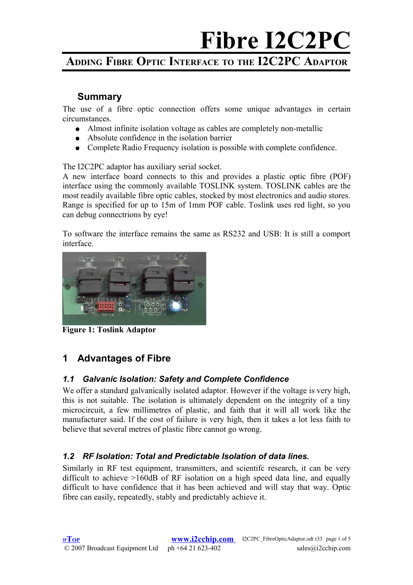## **ADDING FIBRE OPTIC INTERFACE TO THE I2C2PC ADAPTOR**

#### <span id="page-0-0"></span>**Summary**

The use of a fibre optic connection offers some unique advantages in certain circumstances.

- Almost infinite isolation voltage as cables are completely non-metallic
- Absolute confidence in the isolation barrier
- Complete Radio Frequency isolation is possible with complete confidence.

The I2C2PC adaptor has auxiliary serial socket.

A new interface board connects to this and provides a plastic optic fibre (POF) interface using the commonly available TOSLINK system. TOSLINK cables are the most readily available fibre optic cables, stocked by most electronics and audio stores. Range is specified for up to 15m of 1mm POF cable. Toslink uses red light, so you can debug connectrions by eye!

To software the interface remains the same as RS232 and USB: It is still a comport interface.



**Figure 1: Toslink Adaptor**

## **1 Advantages of Fibre**

#### *1.1 Galvanic Isolation: Safety and Complete Confidence*

We offer a standard galvanically isolated adaptor. However if the voltage is very high, this is not suitable. The isolation is ultimately dependent on the integrity of a tiny microcircuit, a few millimetres of plastic, and faith that it will all work like the manufacturer said. If the cost of failure is very high, then it takes a lot less faith to believe that several metres of plastic fibre cannot go wrong.

#### *1.2 RF Isolation: Total and Predictable Isolation of data lines.*

Similarly in RF test equipment, transmitters, and scientifc research, it can be very difficult to achieve >160dB of RF isolation on a high speed data line, and equally difficult to have confidence that it has been achieved and will stay that way. Optic fibre can easily, repeatedly, stably and predictably achieve it.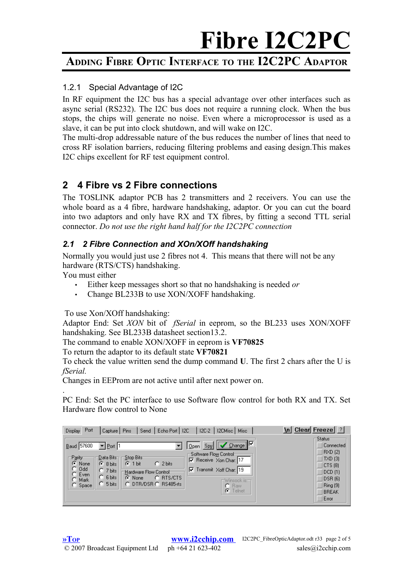## **ADDING FIBRE OPTIC INTERFACE TO THE I2C2PC ADAPTOR**

#### 1.2.1 Special Advantage of I2C

In RF equipment the I2C bus has a special advantage over other interfaces such as async serial (RS232). The I2C bus does not require a running clock. When the bus stops, the chips will generate no noise. Even where a microprocessor is used as a slave, it can be put into clock shutdown, and will wake on I2C.

The multi-drop addressable nature of the bus reduces the number of lines that need to cross RF isolation barriers, reducing filtering problems and easing design.This makes I2C chips excellent for RF test equipment control.

### **2 4 Fibre vs 2 Fibre connections**

The TOSLINK adaptor PCB has 2 transmitters and 2 receivers. You can use the whole board as a 4 fibre, hardware handshaking, adaptor. Or you can cut the board into two adaptors and only have RX and TX fibres, by fitting a second TTL serial connector. *Do not use the right hand half for the I2C2PC connection*

#### *2.1 2 Fibre Connection and XOn/XOff handshaking*

Normally you would just use 2 fibres not 4. This means that there will not be any hardware (RTS/CTS) handshaking.

You must either

.

- Either keep messages short so that no handshaking is needed *or*
- Change BL233B to use XON/XOFF handshaking.

To use Xon/XOff handshaking:

Adaptor End: Set *XON* bit of *fSerial* in eeprom, so the BL233 uses XON/XOFF handshaking. See BL233B datasheet section13.2.

The command to enable XON/XOFF in eeprom is **VF70825**

To return the adaptor to its default state **VF70821**

To check the value written send the dump command **U**. The first 2 chars after the U is *fSerial.*

Changes in EEProm are not active until after next power on.

PC End: Set the PC interface to use Software flow control for both RX and TX. Set Hardware flow control to None

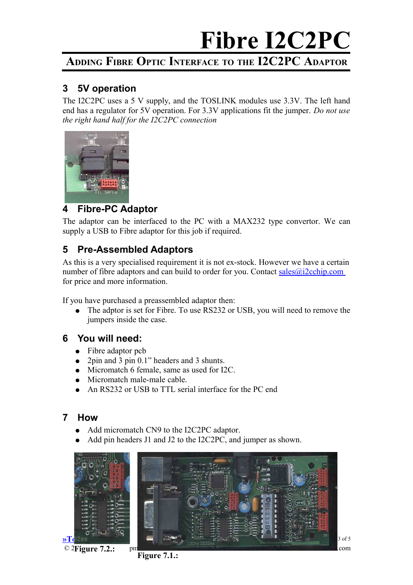## **ADDING FIBRE OPTIC INTERFACE TO THE I2C2PC ADAPTOR**

#### **3 5V operation**

The I2C2PC uses a 5 V supply, and the TOSLINK modules use 3.3V. The left hand end has a regulator for 5V operation. For 3.3V applications fit the jumper. *Do not use the right hand half for the I2C2PC connection*



#### **4 Fibre-PC Adaptor**

The adaptor can be interfaced to the PC with a MAX232 type convertor. We can supply a USB to Fibre adaptor for this job if required.

### **5 Pre-Assembled Adaptors**

As this is a very specialised requirement it is not ex-stock. However we have a certain number of fibre adaptors and can build to order for you. Contact  $\frac{\text{sales@i2cchip.com}}{\text{scale@i2cchip.com}}$ for price and more information.

If you have purchased a preassembled adaptor then:

• The adptor is set for Fibre. To use RS232 or USB, you will need to remove the jumpers inside the case.

#### **6 You will need:**

- Fibre adaptor pcb
- 2pin and 3 pin 0.1" headers and 3 shunts.
- Micromatch 6 female, same as used for I2C.
- Micromatch male-male cable.
- An RS232 or USB to TTL serial interface for the PC end

#### **7 How**

- Add micromatch CN9 to the I2C2PC adaptor.
- Add pin headers J1 and J2 to the I2C2PC, and jumper as shown.



**Figure 7.1.:**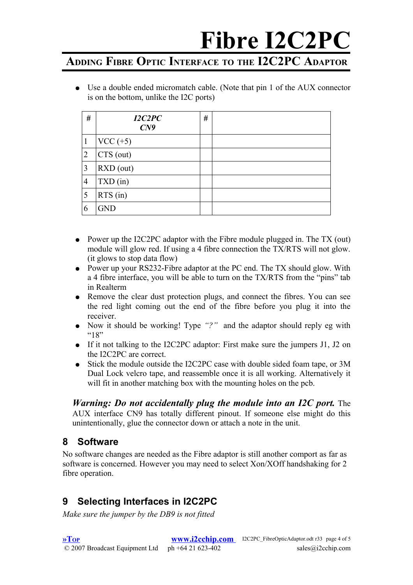## **ADDING FIBRE OPTIC INTERFACE TO THE I2C2PC ADAPTOR**

● Use a double ended micromatch cable. (Note that pin 1 of the AUX connector is on the bottom, unlike the I2C ports)

| #              | I2C2PC<br>C <sub>N</sub> 9 | # |  |
|----------------|----------------------------|---|--|
| $\mathbf{1}$   | $VCC (+5)$                 |   |  |
| $\overline{2}$ | $\vert$ CTS (out)          |   |  |
| 3              | RXD (out)                  |   |  |
| $\overline{4}$ | $TXD$ (in)                 |   |  |
| 5              | $RTS$ (in)                 |   |  |
| 6              | <b>GND</b>                 |   |  |

- Power up the I2C2PC adaptor with the Fibre module plugged in. The TX (out) module will glow red. If using a 4 fibre connection the TX/RTS will not glow. (it glows to stop data flow)
- Power up your RS232-Fibre adaptor at the PC end. The TX should glow. With a 4 fibre interface, you will be able to turn on the TX/RTS from the "pins" tab in Realterm
- Remove the clear dust protection plugs, and connect the fibres. You can see the red light coming out the end of the fibre before you plug it into the receiver.
- Now it should be working! Type *"?"* and the adaptor should reply eg with  $^{16}$ 18"
- If it not talking to the I2C2PC adaptor: First make sure the jumpers J1, J2 on the I2C2PC are correct.
- Stick the module outside the I2C2PC case with double sided foam tape, or 3M Dual Lock velcro tape, and reassemble once it is all working. Alternatively it will fit in another matching box with the mounting holes on the pcb.

*Warning: Do not accidentally plug the module into an I2C port.* The AUX interface CN9 has totally different pinout. If someone else might do this unintentionally, glue the connector down or attach a note in the unit.

### **8 Software**

No software changes are needed as the Fibre adaptor is still another comport as far as software is concerned. However you may need to select Xon/XOff handshaking for 2 fibre operation.

## **9 Selecting Interfaces in I2C2PC**

*Make sure the jumper by the DB9 is not fitted*